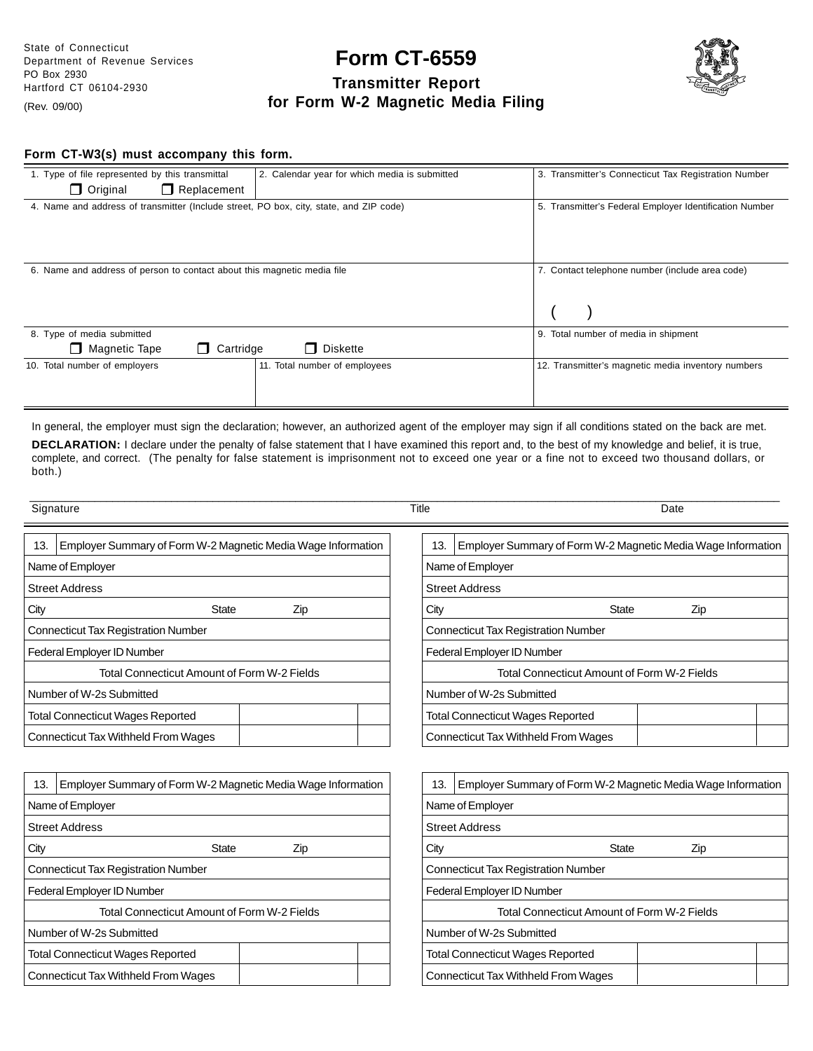# **Form CT-6559 Transmitter Report for Form W-2 Magnetic Media Filing**



## **Form CT-W3(s) must accompany this form.**

| 1. Type of file represented by this transmittal<br>2. Calendar year for which media is submitted | 3. Transmitter's Connecticut Tax Registration Number    |
|--------------------------------------------------------------------------------------------------|---------------------------------------------------------|
| $\Box$ Original<br>$\Box$ Replacement                                                            |                                                         |
| 4. Name and address of transmitter (Include street, PO box, city, state, and ZIP code)           | 5. Transmitter's Federal Employer Identification Number |
|                                                                                                  |                                                         |
|                                                                                                  |                                                         |
|                                                                                                  |                                                         |
| 6. Name and address of person to contact about this magnetic media file                          | 7. Contact telephone number (include area code)         |
|                                                                                                  |                                                         |
|                                                                                                  |                                                         |
|                                                                                                  |                                                         |
| 8. Type of media submitted                                                                       | 9. Total number of media in shipment                    |
| □ Magnetic Tape<br><b>Diskette</b><br>Cartridge<br>П                                             |                                                         |
| 10. Total number of employers<br>11. Total number of employees                                   | 12. Transmitter's magnetic media inventory numbers      |
|                                                                                                  |                                                         |
|                                                                                                  |                                                         |

In general, the employer must sign the declaration; however, an authorized agent of the employer may sign if all conditions stated on the back are met. **DECLARATION:** I declare under the penalty of false statement that I have examined this report and, to the best of my knowledge and belief, it is true, complete, and correct. (The penalty for false statement is imprisonment not to exceed one year or a fine not to exceed two thousand dollars, or both.)

\_\_\_\_\_\_\_\_\_\_\_\_\_\_\_\_\_\_\_\_\_\_\_\_\_\_\_\_\_\_\_\_\_\_\_\_\_\_\_\_\_\_\_\_\_\_\_\_\_\_\_\_\_\_\_\_\_\_\_\_\_\_\_\_\_\_\_\_\_\_\_\_\_\_\_\_\_\_\_\_\_\_\_\_\_\_\_\_\_\_\_\_\_\_\_\_\_\_\_\_\_\_\_\_\_\_\_\_\_\_\_\_\_\_\_\_\_\_\_\_\_\_\_\_\_\_\_

|                                                                     | Signature                                                    | Title                      | Date                                                         |  |  |
|---------------------------------------------------------------------|--------------------------------------------------------------|----------------------------|--------------------------------------------------------------|--|--|
| 13.                                                                 | Employer Summary of Form W-2 Magnetic Media Wage Information | 13.                        | Employer Summary of Form W-2 Magnetic Media Wage Information |  |  |
|                                                                     | Name of Employer                                             | Name of Employer           |                                                              |  |  |
|                                                                     | <b>Street Address</b>                                        | <b>Street Address</b>      |                                                              |  |  |
| City                                                                | <b>State</b><br>Zip                                          | City                       | <b>State</b><br>Zip                                          |  |  |
|                                                                     | <b>Connecticut Tax Registration Number</b>                   |                            | <b>Connecticut Tax Registration Number</b>                   |  |  |
|                                                                     | Federal Employer ID Number                                   | Federal Employer ID Number |                                                              |  |  |
|                                                                     | Total Connecticut Amount of Form W-2 Fields                  |                            | Total Connecticut Amount of Form W-2 Fields                  |  |  |
|                                                                     | Number of W-2s Submitted                                     | Number of W-2s Submitted   |                                                              |  |  |
|                                                                     | <b>Total Connecticut Wages Reported</b>                      |                            | <b>Total Connecticut Wages Reported</b>                      |  |  |
|                                                                     | Connecticut Tax Withheld From Wages                          |                            | Connecticut Tax Withheld From Wages                          |  |  |
|                                                                     |                                                              |                            |                                                              |  |  |
| Employer Summary of Form W-2 Magnetic Media Wage Information<br>13. |                                                              | 13.                        | Employer Summary of Form W-2 Magnetic Media Wage Information |  |  |
| Name of Employer                                                    |                                                              |                            | Name of Employer                                             |  |  |
| <b>Street Address</b>                                               |                                                              |                            | <b>Street Address</b>                                        |  |  |

City **State** Zip

Total Connecticut Amount of Form W-2 Fields

Connecticut Tax Registration Number

Total Connecticut Wages Reported Connecticut Tax Withheld From Wages

Federal Employer ID Number

Number of W-2s Submitted

| Name of Employer                            |     |  |  |  |  |
|---------------------------------------------|-----|--|--|--|--|
| <b>Street Address</b>                       |     |  |  |  |  |
| City<br>State                               | Zip |  |  |  |  |
| Connecticut Tax Registration Number         |     |  |  |  |  |
| Federal Employer ID Number                  |     |  |  |  |  |
| Total Connecticut Amount of Form W-2 Fields |     |  |  |  |  |
| Number of W-2s Submitted                    |     |  |  |  |  |
| Total Connecticut Wages Reported            |     |  |  |  |  |
| Connecticut Tax Withheld From Wages         |     |  |  |  |  |